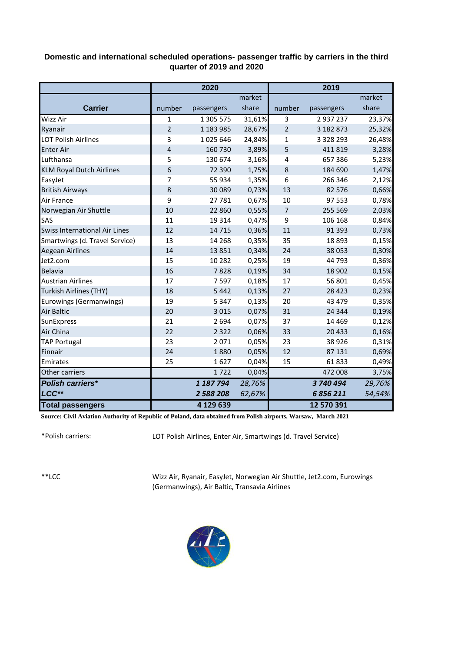## **Domestic and international scheduled operations- passenger traffic by carriers in the third quarter of 2019 and 2020**

|                                      | 2020           |            |        | 2019           |               |        |  |
|--------------------------------------|----------------|------------|--------|----------------|---------------|--------|--|
|                                      |                |            | market |                |               | market |  |
| <b>Carrier</b>                       | number         | passengers | share  | number         | passengers    | share  |  |
| <b>Wizz Air</b>                      | 1              | 1 305 575  | 31,61% | 3              | 2937237       | 23,37% |  |
| Ryanair                              | $\overline{2}$ | 1 183 985  | 28,67% | $\overline{2}$ | 3 182 873     | 25,32% |  |
| <b>LOT Polish Airlines</b>           | 3              | 1025646    | 24,84% | $\mathbf{1}$   | 3 3 2 8 2 9 3 | 26,48% |  |
| <b>Enter Air</b>                     | 4              | 160 730    | 3,89%  | 5              | 411819        | 3,28%  |  |
| Lufthansa                            | 5              | 130 674    | 3,16%  | 4              | 657 386       | 5,23%  |  |
| <b>KLM Royal Dutch Airlines</b>      | 6              | 72 390     | 1,75%  | 8              | 184 690       | 1,47%  |  |
| EasyJet                              | 7              | 55 934     | 1,35%  | 6              | 266 346       | 2,12%  |  |
| <b>British Airways</b>               | 8              | 30 0 89    | 0,73%  | 13             | 82 576        | 0,66%  |  |
| Air France                           | 9              | 27781      | 0,67%  | 10             | 97 553        | 0,78%  |  |
| Norwegian Air Shuttle                | 10             | 22 8 6 0   | 0,55%  | $\overline{7}$ | 255 569       | 2,03%  |  |
| SAS                                  | 11             | 19 3 14    | 0,47%  | 9              | 106 168       | 0,84%  |  |
| <b>Swiss International Air Lines</b> | 12             | 14 7 15    | 0,36%  | 11             | 91 3 93       | 0,73%  |  |
| Smartwings (d. Travel Service)       | 13             | 14 2 68    | 0,35%  | 35             | 18 8 93       | 0,15%  |  |
| Aegean Airlines                      | 14             | 13851      | 0,34%  | 24             | 38 053        | 0,30%  |  |
| Jet2.com                             | 15             | 10 2 8 2   | 0,25%  | 19             | 44 793        | 0,36%  |  |
| Belavia                              | 16             | 7828       | 0,19%  | 34             | 18 902        | 0,15%  |  |
| <b>Austrian Airlines</b>             | 17             | 7597       | 0,18%  | 17             | 56 801        | 0,45%  |  |
| <b>Turkish Airlines (THY)</b>        | 18             | 5 4 4 2    | 0,13%  | 27             | 28 4 23       | 0,23%  |  |
| Eurowings (Germanwings)              | 19             | 5 3 4 7    | 0,13%  | 20             | 43 479        | 0,35%  |  |
| <b>Air Baltic</b>                    | 20             | 3 0 1 5    | 0,07%  | 31             | 24 344        | 0,19%  |  |
| SunExpress                           | 21             | 2 6 9 4    | 0,07%  | 37             | 14 4 69       | 0,12%  |  |
| Air China                            | 22             | 2 3 2 2    | 0,06%  | 33             | 20 4 33       | 0,16%  |  |
| <b>TAP Portugal</b>                  | 23             | 2071       | 0,05%  | 23             | 38 9 26       | 0,31%  |  |
| Finnair                              | 24             | 1880       | 0,05%  | 12             | 87 131        | 0,69%  |  |
| Emirates                             | 25             | 1627       | 0,04%  | 15             | 61833         | 0,49%  |  |
| Other carriers                       |                | 1722       | 0,04%  |                | 472 008       | 3,75%  |  |
| <b>Polish carriers*</b>              |                | 1 187 794  | 28,76% |                | 3740494       | 29,76% |  |
| LCC**                                |                | 2 588 208  | 62,67% |                | 6856211       | 54,54% |  |
| <b>Total passengers</b>              |                | 4 129 639  |        |                | 12 570 391    |        |  |

**Source: Civil Aviation Authority of Republic of Poland, data obtained from Polish airports, Warsaw, March 2021**

\*Polish carriers:

LOT Polish Airlines, Enter Air, Smartwings (d. Travel Service)

\*\*LCC

Wizz Air, Ryanair, EasyJet, Norwegian Air Shuttle, Jet2.com, Eurowings (Germanwings), Air Baltic, Transavia Airlines